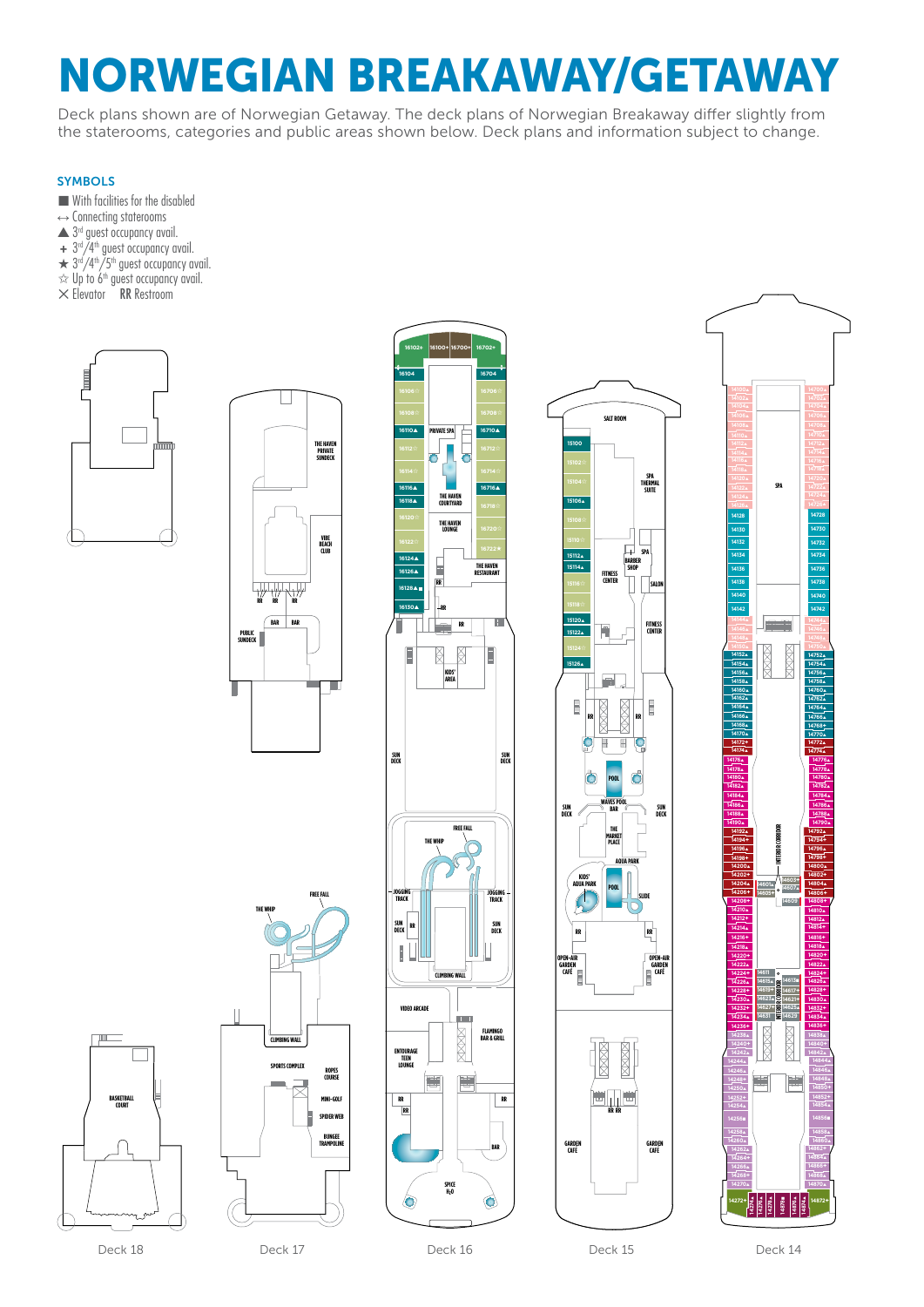# NORWEGIAN BREAKAWAY/GETAWAY

Deck plans shown are of Norwegian Getaway. The deck plans of Norwegian Breakaway differ slightly from the staterooms, categories and public areas shown below. Deck plans and information subject to change.

# **SYMBOLS**

- $\blacksquare$  With facilities for the disabled
- $\leftrightarrow$  Connecting staterooms
- $\triangle$  3<sup>rd</sup> guest occupancy avail.
- **+** 3rd/4th guest occupancy avail.
- $\star$  3<sup>rd</sup>/4<sup>th</sup>/5<sup>th</sup> guest occupancy avail.
- $\approx$  Up to 6<sup>th</sup> guest occupancy avail.
- $\times$  Elevator RR Restroom













Deck 18

**BASKETBALL COURT**

Deck 17 Deck 16 Deck 16 Deck 15 Deck 17 Deck 14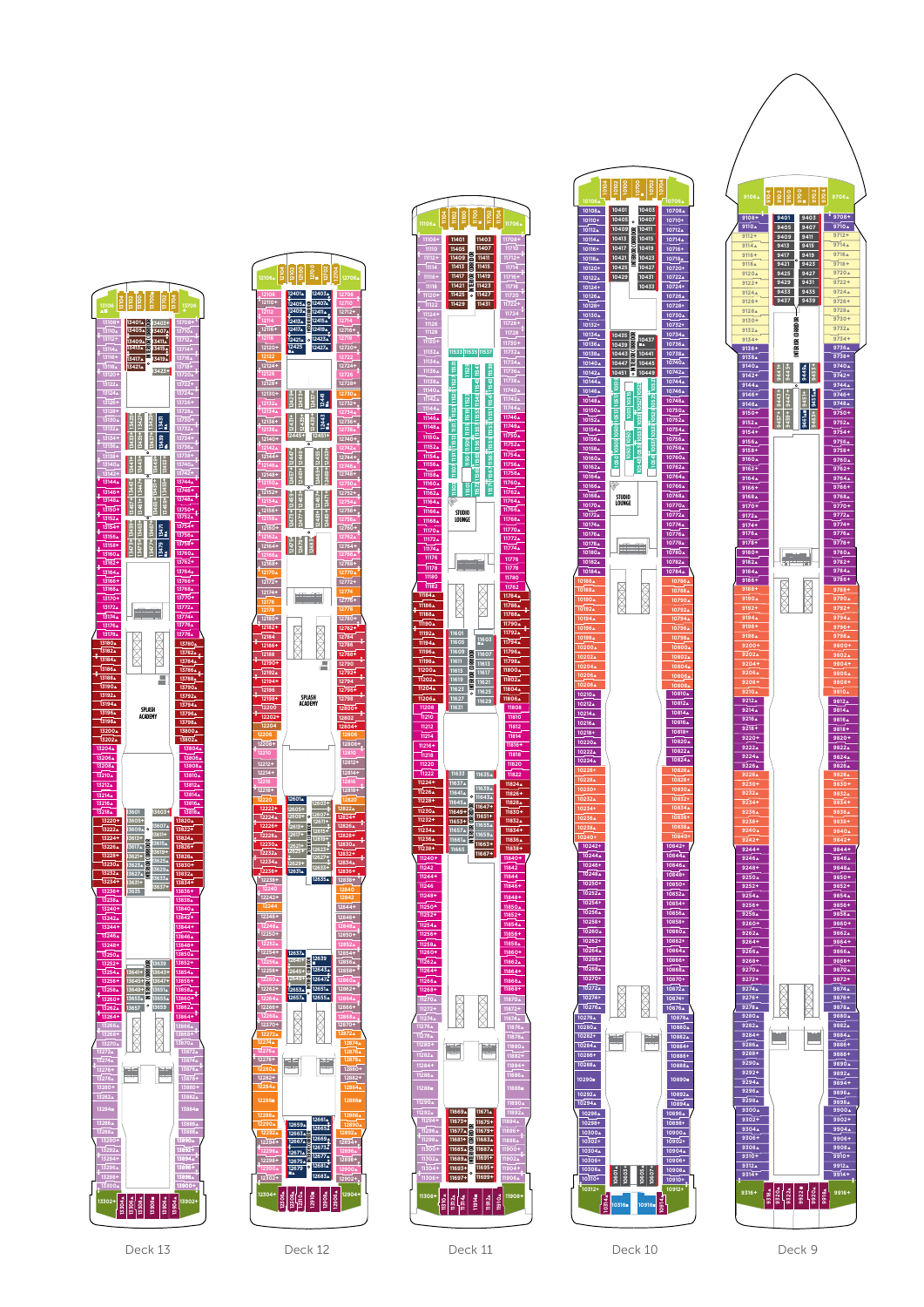







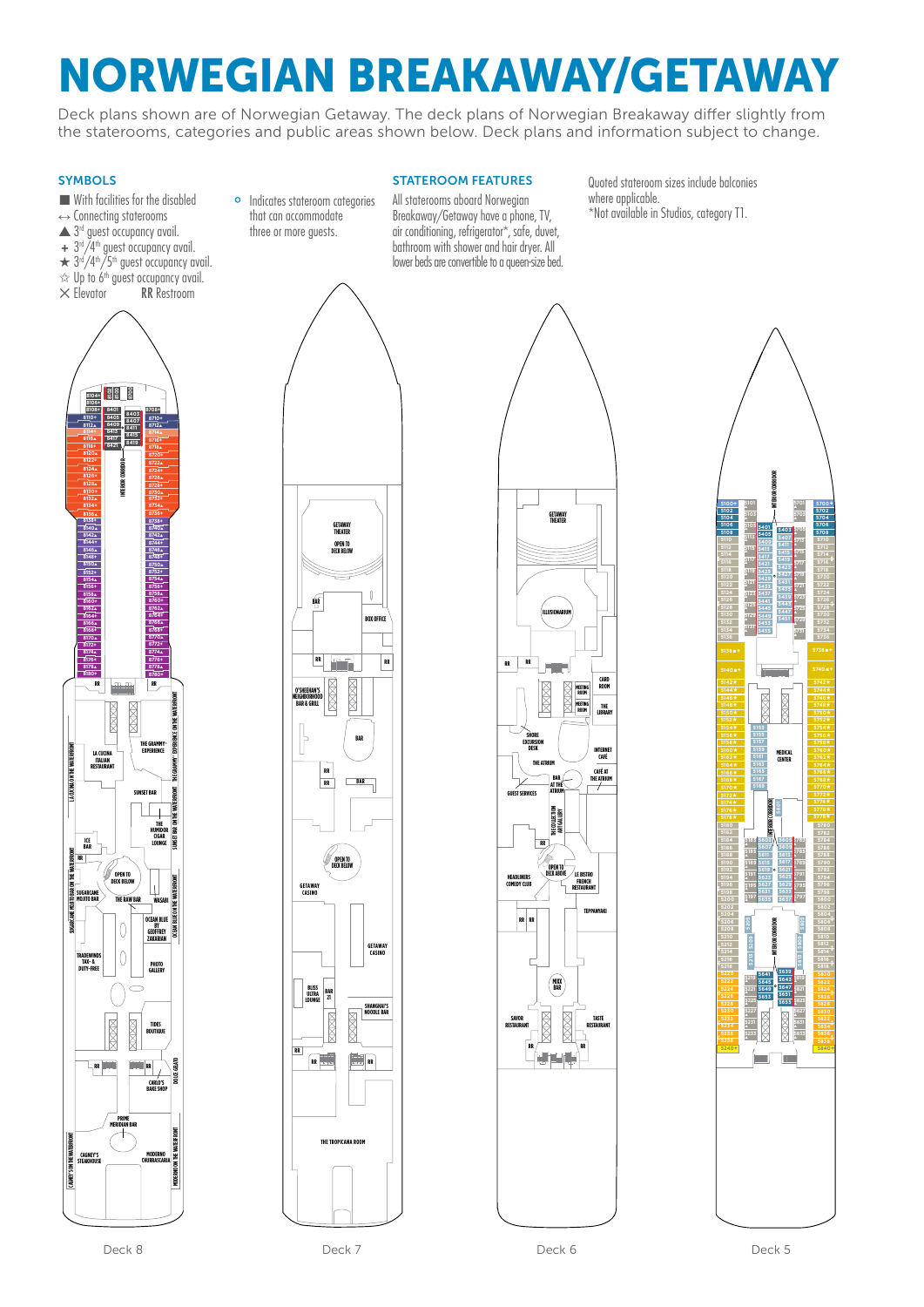Deck plans shown are of Norwegian Getaway. The deck plans of Norwegian Breakaway differ slightly from the staterooms, categories and public areas shown below. Deck plans and information subject to change.

# **SYMBOLS**

- $\blacksquare$  With facilities for the disabled
- $\leftrightarrow$  Connecting staterooms
- $\triangle$  3<sup>rd</sup> quest occupancy avail.
- **+** 3rd/4th guest occupancy avail.
- $\star$  3<sup>rd</sup>/4<sup>th</sup>/5<sup>th</sup> guest occupancy avail.
- $\approx$  Up to 6<sup>th</sup> guest occupancy avail.
- $\times$  Elevator RR Restroom





#### STATEROOM FEATURES

All staterooms aboard Norwegian Breakaway/Getaway have a phone, TV, air conditioning, refrigerator\*, safe, duvet, bathroom with shower and hair dryer. All lower beds are convertible to a queen-size bed. Quoted stateroom sizes include balconies where applicable. \*Not available in Studios, category T1.